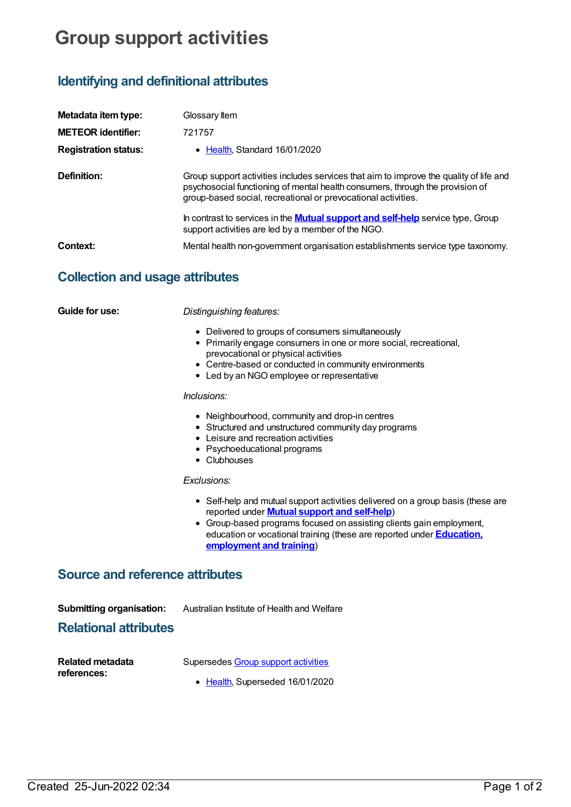## **Group support activities**

## **Identifying and definitional attributes**

| Metadata item type:         | Glossary Item                                                                                                                                                                                                                            |
|-----------------------------|------------------------------------------------------------------------------------------------------------------------------------------------------------------------------------------------------------------------------------------|
| <b>METEOR identifier:</b>   | 721757                                                                                                                                                                                                                                   |
| <b>Registration status:</b> | • Health, Standard 16/01/2020                                                                                                                                                                                                            |
| Definition:                 | Group support activities includes services that aim to improve the quality of life and<br>psychosocial functioning of mental health consumers, through the provision of<br>group-based social, recreational or prevocational activities. |
|                             | In contrast to services in the <b>Mutual support and self-help</b> service type, Group<br>support activities are led by a member of the NGO.                                                                                             |
| Context:                    | Mental health non-government organisation establishments service type taxonomy.                                                                                                                                                          |

## **Collection and usage attributes**

| Guide for use:                                                  | Distinguishing features:                                                                                                                                                                                                                                                                                                     |
|-----------------------------------------------------------------|------------------------------------------------------------------------------------------------------------------------------------------------------------------------------------------------------------------------------------------------------------------------------------------------------------------------------|
|                                                                 | • Delivered to groups of consumers simultaneously<br>• Primarily engage consumers in one or more social, recreational,<br>prevocational or physical activities<br>• Centre-based or conducted in community environments<br>• Led by an NGO employee or representative                                                        |
|                                                                 | Inclusions:                                                                                                                                                                                                                                                                                                                  |
|                                                                 | • Neighbourhood, community and drop-in centres<br>• Structured and unstructured community day programs<br>• Leisure and recreation activities<br>• Psychoeducational programs<br>• Clubhouses                                                                                                                                |
|                                                                 | Exclusions:                                                                                                                                                                                                                                                                                                                  |
|                                                                 | • Self-help and mutual support activities delivered on a group basis (these are<br>reported under <b>Mutual support and self-help</b> )<br>• Group-based programs focused on assisting clients gain employment,<br>education or vocational training (these are reported under <b>Education</b> ,<br>employment and training) |
| <b>Source and reference attributes</b>                          |                                                                                                                                                                                                                                                                                                                              |
| <b>Submitting organisation:</b><br><b>Relational attributes</b> | Australian Institute of Health and Welfare                                                                                                                                                                                                                                                                                   |
| <b>Related metadata</b><br>references:                          | Supersedes Group support activities                                                                                                                                                                                                                                                                                          |
|                                                                 | • Health, Superseded 16/01/2020                                                                                                                                                                                                                                                                                              |